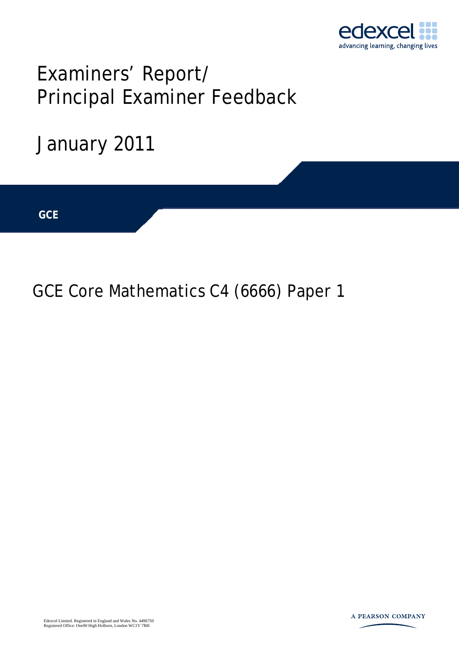

# Examiners' Report/ Principal Examiner Feedback



## GCE Core Mathematics C4 (6666) Paper 1

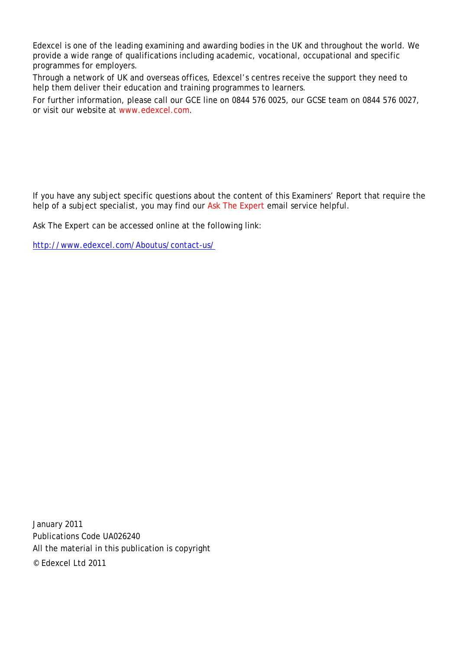Edexcel is one of the leading examining and awarding bodies in the UK and throughout the world. We provide a wide range of qualifications including academic, vocational, occupational and specific programmes for employers.

Through a network of UK and overseas offices, Edexcel's centres receive the support they need to help them deliver their education and training programmes to learners.

For further information, please call our GCE line on 0844 576 0025, our GCSE team on 0844 576 0027, or visit our website at www.edexcel.com.

If you have any subject specific questions about the content of this Examiners' Report that require the help of a subject specialist, you may find our Ask The Expert email service helpful.

Ask The Expert can be accessed online at the following link:

http://www.edexcel.com/Aboutus/contact-us/

January 2011 Publications Code UA026240 All the material in this publication is copyright © Edexcel Ltd 2011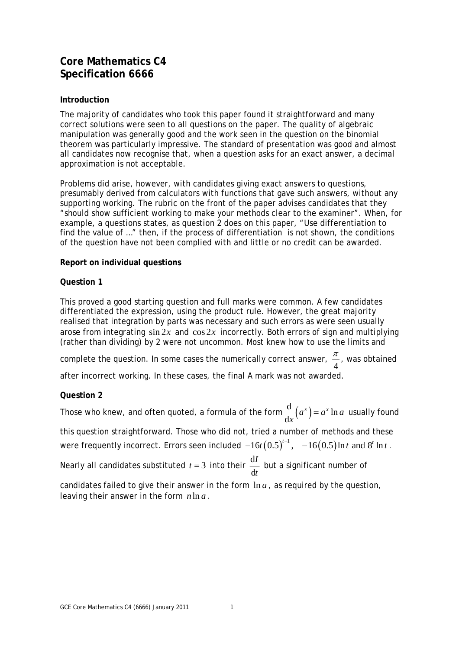### **Core Mathematics C4 Specification 6666**

#### **Introduction**

The majority of candidates who took this paper found it straightforward and many correct solutions were seen to all questions on the paper. The quality of algebraic manipulation was generally good and the work seen in the question on the binomial theorem was particularly impressive. The standard of presentation was good and almost all candidates now recognise that, when a question asks for an exact answer, a decimal approximation is not acceptable.

Problems did arise, however, with candidates giving exact answers to questions, presumably derived from calculators with functions that gave such answers, without any supporting working. The rubric on the front of the paper advises candidates that they "should show sufficient working to make your methods clear to the examiner". When, for example, a questions states, as question 2 does on this paper, "Use differentiation to find the value of …" then, if the process of differentiation is not shown, the conditions of the question have not been complied with and little or no credit can be awarded.

#### **Report on individual questions**

#### **Question 1**

This proved a good starting question and full marks were common. A few candidates differentiated the expression, using the product rule. However, the great majority realised that integration by parts was necessary and such errors as were seen usually arose from integrating  $\sin 2x$  and  $\cos 2x$  incorrectly. Both errors of sign and multiplying (rather than dividing) by 2 were not uncommon. Most knew how to use the limits and

complete the question. In some cases the numerically correct answer,  $\frac{\pi}{4}$ , was obtained after incorrect working. In these cases, the final A mark was not awarded.

#### **Question 2**

Those who knew, and often quoted, a formula of the form  $\frac{d}{d} (a^x) = a^x \ln a$ d  $\frac{d}{dx}(a^x) = a^x \ln a$  usually found this question straightforward. Those who did not, tried a number of methods and these

were frequently incorrect. Errors seen included  $-16t \big(0.5 \big)^{t-1}, \;\; -16 \big(0.5 \big)$  In  $t$  and  $8^t$  In  $t$  .

Nearly all candidates substituted  $t = 3$  into their  $\frac{d}{dt}$ d *I t* but a significant number of

candidates failed to give their answer in the form ln *a* , as required by the question, leaving their answer in the form  $n \ln a$ .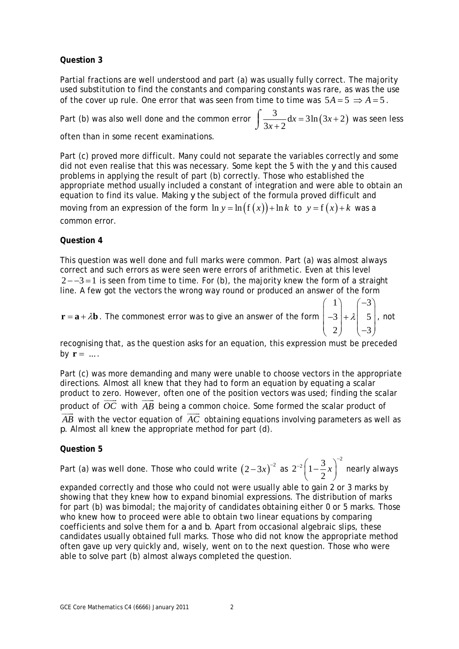#### **Question 3**

Partial fractions are well understood and part (a) was usually fully correct. The majority used substitution to find the constants and comparing constants was rare, as was the use of the cover up rule. One error that was seen from time to time was  $5A = 5 \Rightarrow A = 5$ .

Part (b) was also well done and the common error  $\int \frac{3}{2} dx = 3\ln(3x+2)$  $3x + 2$  $\frac{3}{x+2}dx = 3\ln(3x+$  $\int \frac{3}{3x+2} dx = 3\ln(3x+2)$  was seen less

often than in some recent examinations.

Part (c) proved more difficult. Many could not separate the variables correctly and some did not even realise that this was necessary. Some kept the 5 with the *y* and this caused problems in applying the result of part (b) correctly. Those who established the appropriate method usually included a constant of integration and were able to obtain an equation to find its value. Making *y* the subject of the formula proved difficult and moving from an expression of the form  $\ln y = \ln (f(x)) + \ln k$  to  $y = f(x) + k$  was a common error.

#### **Question 4**

This question was well done and full marks were common. Part (a) was almost always correct and such errors as were seen were errors of arithmetic. Even at this level  $2 - -3 = 1$  is seen from time to time. For (b), the majority knew the form of a straight line. A few got the vectors the wrong way round or produced an answer of the form

 $\mathbf{r} = \mathbf{a} + \lambda \mathbf{b}$ . The commonest error was to give an answer of the form 1)  $(-3)$  $3 \vert + \lambda \vert 5$ 2  $\vert -3 \vert$  $\begin{pmatrix} 1 \\ -3 \\ +2 \end{pmatrix} + \lambda \begin{pmatrix} -3 \\ 5 \\ -2 \end{pmatrix}$  $\begin{pmatrix} 2 \end{pmatrix}$   $\begin{pmatrix} -3 \end{pmatrix}$ , not

recognising that, as the question asks for an equation, this expression must be preceded by  $\mathbf{r} = ...$ 

Part (c) was more demanding and many were unable to choose vectors in the appropriate directions. Almost all knew that they had to form an equation by equating a scalar product to zero. However, often one of the position vectors was used; finding the scalar  $\rightarrow$ product to zero. However, often one of the position vectors was used, infinity the scalar<br>product of  $\overrightarrow{OC}$  with  $\overrightarrow{AB}$  being a common choice. Some formed the scalar product of *AB* with the vector equation of  $\overrightarrow{AC}$  obtaining equations involving parameters as well as *p*. Almost all knew the appropriate method for part (d).

#### **Question 5**

Part (a) was well done. Those who could write  $\left( 2\! -\! 3x\right) ^{-2}$  as  $2^{-2}\left(1-\frac{3}{2}x\right)^{-2}$ 2 *x*  $-2\left(1-\frac{3}{2}x\right)^{-2}$  nearly always

expanded correctly and those who could not were usually able to gain 2 or 3 marks by showing that they knew how to expand binomial expressions. The distribution of marks for part (b) was bimodal; the majority of candidates obtaining either 0 or 5 marks. Those who knew how to proceed were able to obtain two linear equations by comparing coefficients and solve them for *a* and *b*. Apart from occasional algebraic slips, these candidates usually obtained full marks. Those who did not know the appropriate method often gave up very quickly and, wisely, went on to the next question. Those who were able to solve part (b) almost always completed the question.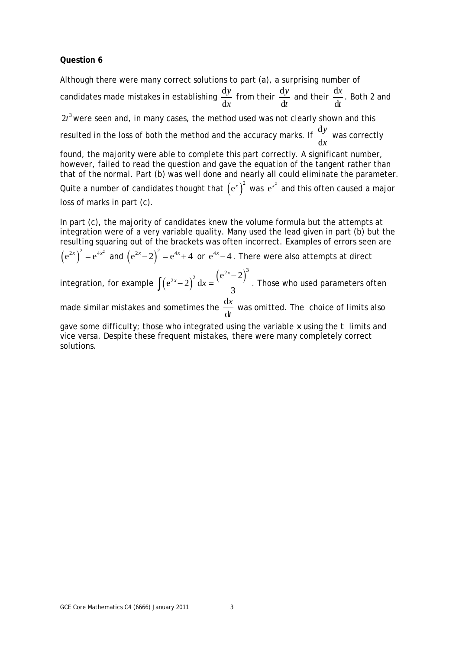#### **Question 6**

Although there were many correct solutions to part (a), a surprising number of candidates made mistakes in establishing  $\frac{d}{d}$ d *y x* from their  $\frac{d}{dx}$ d *y t* and their  $\frac{d}{dx}$ d *x t* . Both 2 and

 $2t<sup>3</sup>$  were seen and, in many cases, the method used was not clearly shown and this resulted in the loss of both the method and the accuracy marks. If  $\frac{\rm d}{{\rm d}t}$ d *y x* was correctly

found, the majority were able to complete this part correctly. A significant number, however, failed to read the question and gave the equation of the tangent rather than that of the normal. Part (b) was well done and nearly all could eliminate the parameter.

Quite a number of candidates thought that  $\left({\rm e}^x\right)^2$  was  ${\rm e}^{x^2}$  and this often caused a major loss of marks in part (c).

In part (c), the majority of candidates knew the volume formula but the attempts at integration were of a very variable quality. Many used the lead given in part (b) but the resulting squaring out of the brackets was often incorrect. Examples of errors seen are

 $(e^{2x})^2 = e^{4x^2}$  and  $(e^{2x}-2)^2 = e^{4x}+4$  or  $e^{4x}-4$ . There were also attempts at direct

integration, for example  $\int (e^{2x}-2)^2 dx = \frac{(e^{2x}-2)^3}{2}$ 3  $\int (e^{2x} - 2)^2 dx = \frac{(e^{2x} - 2)^3}{3}$ . Those who used parameters often

made similar mistakes and sometimes the  $\frac{d}{d}$ d *x t* was omitted. The choice of limits also

gave some difficulty; those who integrated using the variable *x* using the *t* limits and vice versa. Despite these frequent mistakes, there were many completely correct solutions.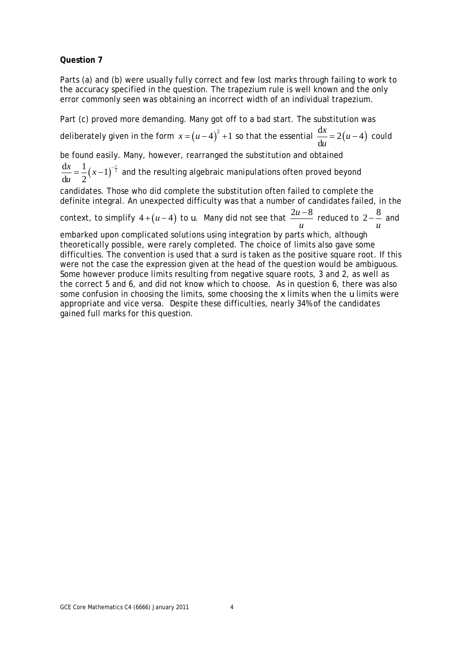#### **Question 7**

Parts (a) and (b) were usually fully correct and few lost marks through failing to work to the accuracy specified in the question. The trapezium rule is well known and the only error commonly seen was obtaining an incorrect width of an individual trapezium.

Part (c) proved more demanding. Many got off to a bad start. The substitution was deliberately given in the form  $x = (u-4)^2 + 1$  so that the essential  $\frac{dx}{dx} = 2(u-4)$ d  $\frac{dx}{u}$  = 2(*u* – 4) could

be found easily. Many, however, rearranged the substitution and obtained

 $\frac{dx}{1} = \frac{1}{2} (x-1)^{-\frac{1}{2}}$  $du$  2  $\frac{x}{2} = \frac{1}{2}$  (x *u*  $=\frac{1}{2}(x-1)^{-\frac{1}{2}}$  and the resulting algebraic manipulations often proved beyond

candidates. Those who did complete the substitution often failed to complete the definite integral. An unexpected difficulty was that a number of candidates failed, in the

context, to simplify  $4 + (u - 4)$  to  $u$ . Many did not see that  $\frac{2u - 8}{u - 8u}$ *u*  $\frac{-8}{-8}$  reduced to 2 $-\frac{8}{-8}$ *u* −<sup>o</sup> and

embarked upon complicated solutions using integration by parts which, although theoretically possible, were rarely completed. The choice of limits also gave some difficulties. The convention is used that a surd is taken as the positive square root. If this were not the case the expression given at the head of the question would be ambiguous. Some however produce limits resulting from negative square roots, 3 and 2, as well as the correct 5 and 6, and did not know which to choose. As in question 6, there was also some confusion in choosing the limits, some choosing the *x* limits when the *u* limits were appropriate and vice versa. Despite these difficulties, nearly 34% of the candidates gained full marks for this question.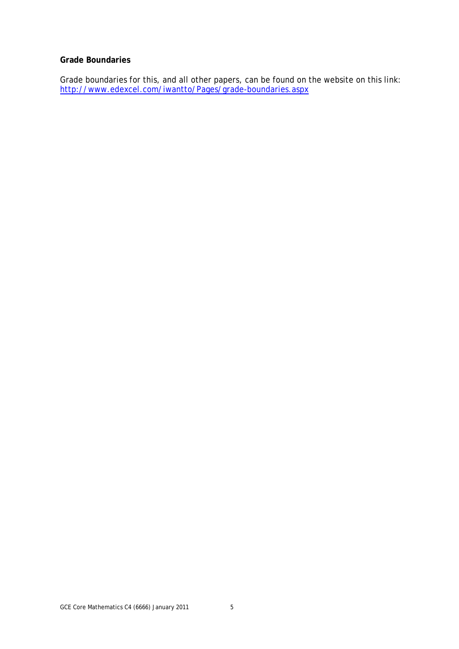#### **Grade Boundaries**

Grade boundaries for this, and all other papers, can be found on the website on this link: http://www.edexcel.com/iwantto/Pages/grade-boundaries.aspx